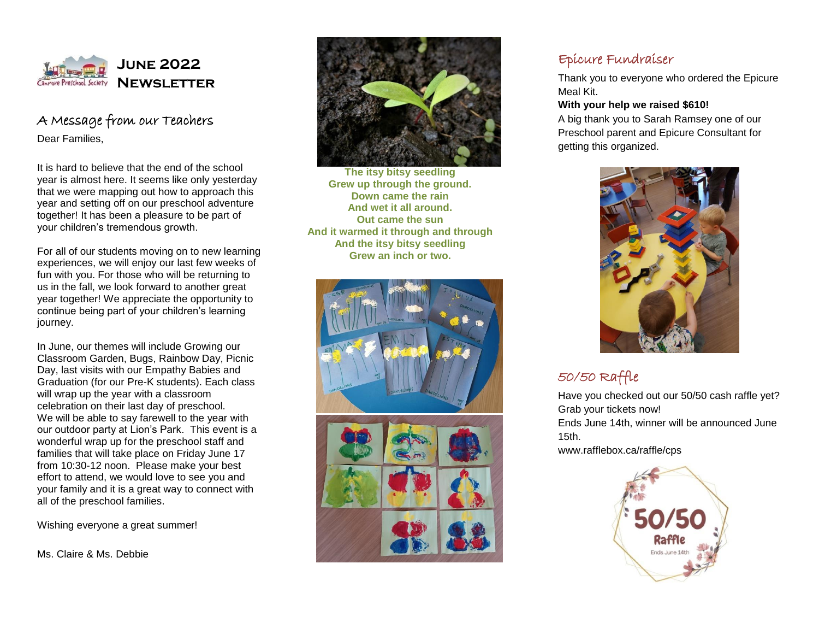

### A Message from our Teachers Dear Families,

It is hard to believe that the end of the school year is almost here. It seems like only yesterday that we were mapping out how to approach this year and setting off on our preschool adventure together! It has been a pleasure to be part of your children's tremendous growth.

For all of our students moving on to new learning experiences, we will enjoy our last few weeks of fun with you. For those who will be returning to us in the fall, we look forward to another great year together! We appreciate the opportunity to continue being part of your children's learning journey.

In June, our themes will include Growing our Classroom Garden, Bugs, Rainbow Day, Picnic Day, last visits with our Empathy Babies and Graduation (for our Pre-K students). Each class will wrap up the year with a classroom celebration on their last day of preschool. We will be able to say farewell to the year with our outdoor party at Lion's Park. This event is a wonderful wrap up for the preschool staff and families that will take place on Friday June 17 from 10:30-12 noon. Please make your best effort to attend, we would love to see you and your family and it is a great way to connect with all of the preschool families.

Wishing everyone a great summer!

Ms. Claire & Ms. Debbie



**The itsy bitsy seedling Grew up through the ground. Down came the rain And wet it all around. Out came the sun And it warmed it through and through And the itsy bitsy seedling Grew an inch or two.**



## Epicure Fundraiser

Thank you to everyone who ordered the Epicure Meal Kit.

#### **With your help we raised \$610!**

A big thank you to Sarah Ramsey one of our Preschool parent and Epicure Consultant for getting this organized.



# 50/50 Raffle

Have you checked out our 50/50 cash raffle yet? [Grab your tickets now!](https://www.rafflebox.ca/raffle/cps) Ends June 14th, winner will be announced June 15th.

www.rafflebox.ca/raffle/cps

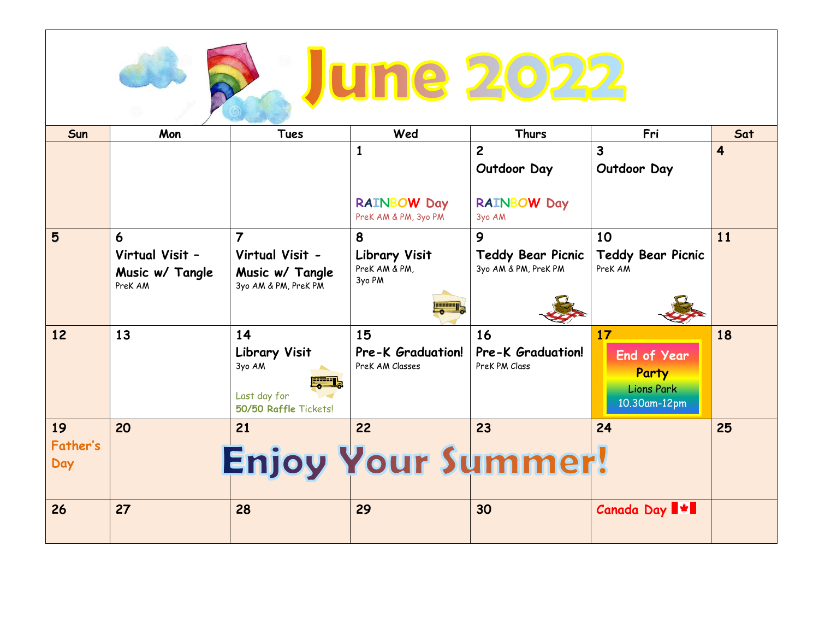| <b>une 202</b>        |                                               |                                                                                              |                                                   |                                                  |                                                                        |                         |
|-----------------------|-----------------------------------------------|----------------------------------------------------------------------------------------------|---------------------------------------------------|--------------------------------------------------|------------------------------------------------------------------------|-------------------------|
| Sun                   | Mon                                           | <b>Tues</b>                                                                                  | Wed                                               | <b>Thurs</b>                                     | Fri                                                                    | Sat                     |
|                       |                                               |                                                                                              | $\mathbf{1}$                                      | $\overline{c}$<br>Outdoor Day                    | 3<br>Outdoor Day                                                       | $\overline{\mathbf{4}}$ |
|                       |                                               |                                                                                              | <b>RAINBOW Day</b><br>PreK AM & PM, 3yo PM        | <b>RAINBOW Day</b><br>3yo AM                     |                                                                        |                         |
| 5                     | 6                                             | $\overline{7}$                                                                               | 8                                                 | 9                                                | 10                                                                     | 11                      |
|                       | Virtual Visit -<br>Music w/ Tangle<br>PreK AM | Virtual Visit -<br>Music w/ Tangle<br>3yo AM & PM, PreK PM                                   | <b>Library Visit</b><br>PreK AM & PM,<br>3yo PM   | <b>Teddy Bear Picnic</b><br>3yo AM & PM, PreK PM | <b>Teddy Bear Picnic</b><br>PreK AM                                    |                         |
| 12                    | 13                                            | 14<br><b>Library Visit</b><br>3yo AM<br><b>FREE</b><br>Last day for<br>50/50 Raffle Tickets! | 15<br><b>Pre-K Graduation!</b><br>PreK AM Classes | 16<br><b>Pre-K</b> Graduation!<br>PreK PM Class  | 17<br><b>End of Year</b><br>Party<br><b>Lions Park</b><br>10.30am-12pm | 18                      |
| 19<br>Father's<br>Day | 20                                            | 21<br>Enjoy Your Summer!                                                                     | 22                                                | 23                                               | 24                                                                     | 25                      |
| 26                    | 27                                            | 28                                                                                           | 29                                                | 30                                               | <b>Canada Day ##</b>                                                   |                         |